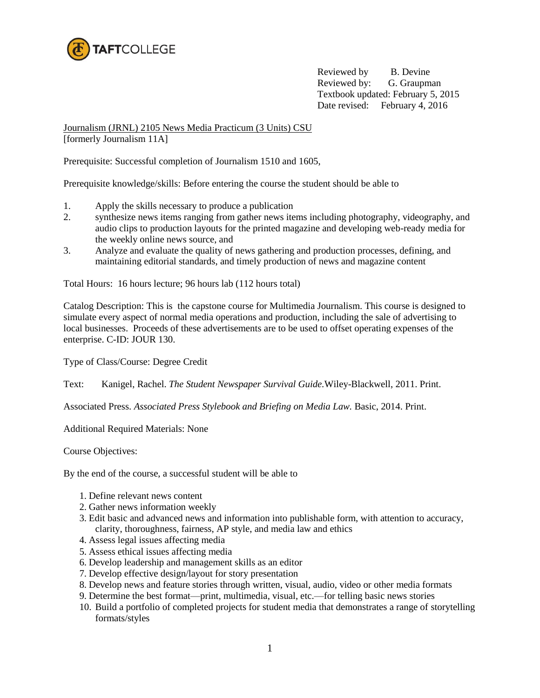

Reviewed by B. Devine Reviewed by: G. Graupman Textbook updated: February 5, 2015 Date revised: February 4, 2016

Journalism (JRNL) 2105 News Media Practicum (3 Units) CSU [formerly Journalism 11A]

Prerequisite: Successful completion of Journalism 1510 and 1605,

Prerequisite knowledge/skills: Before entering the course the student should be able to

- 1. Apply the skills necessary to produce a publication
- 2. synthesize news items ranging from gather news items including photography, videography, and audio clips to production layouts for the printed magazine and developing web-ready media for the weekly online news source, and
- 3. Analyze and evaluate the quality of news gathering and production processes, defining, and maintaining editorial standards, and timely production of news and magazine content

Total Hours: 16 hours lecture; 96 hours lab (112 hours total)

Catalog Description: This is the capstone course for Multimedia Journalism. This course is designed to simulate every aspect of normal media operations and production, including the sale of advertising to local businesses. Proceeds of these advertisements are to be used to offset operating expenses of the enterprise. C-ID: JOUR 130.

Type of Class/Course: Degree Credit

Text: Kanigel, Rachel. *The Student Newspaper Survival Guide.*Wiley-Blackwell, 2011. Print.

Associated Press. *Associated Press Stylebook and Briefing on Media Law.* Basic, 2014. Print.

Additional Required Materials: None

Course Objectives:

By the end of the course, a successful student will be able to

- 1. Define relevant news content
- 2. Gather news information weekly
- 3. Edit basic and advanced news and information into publishable form, with attention to accuracy, clarity, thoroughness, fairness, AP style, and media law and ethics
- 4. Assess legal issues affecting media
- 5. Assess ethical issues affecting media
- 6. Develop leadership and management skills as an editor
- 7. Develop effective design/layout for story presentation
- 8. Develop news and feature stories through written, visual, audio, video or other media formats
- 9. Determine the best format—print, multimedia, visual, etc.—for telling basic news stories
- 10. Build a portfolio of completed projects for student media that demonstrates a range of storytelling formats/styles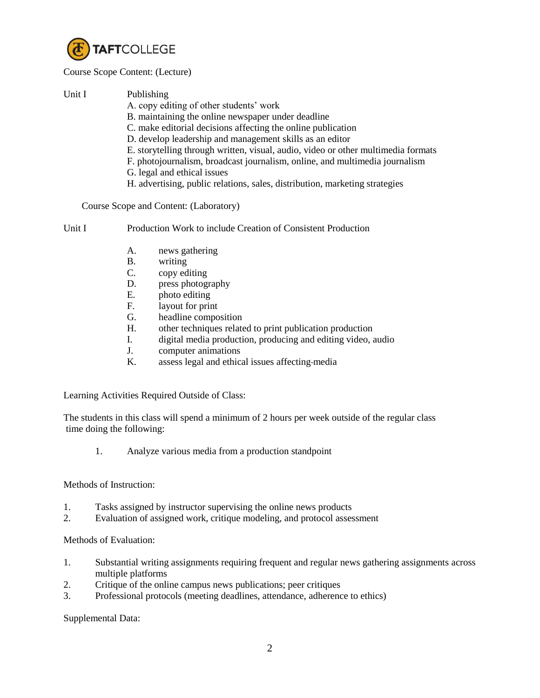

## Course Scope Content: (Lecture)

| Unit I | Publishing                                                                        |
|--------|-----------------------------------------------------------------------------------|
|        | A. copy editing of other students' work                                           |
|        | B. maintaining the online newspaper under deadline                                |
|        | C. make editorial decisions affecting the online publication                      |
|        | D. develop leadership and management skills as an editor                          |
|        | E. storytelling through written, visual, audio, video or other multimedia formats |
|        | F. photojournalism, broadcast journalism, online, and multimedia journalism       |
|        | G. legal and ethical issues                                                       |
|        | H. advertising, public relations, sales, distribution, marketing strategies       |

Course Scope and Content: (Laboratory)

Unit I Production Work to include Creation of Consistent Production

- A. news gathering
- B. writing
- C. copy editing
- D. press photography
- E. photo editing
- F. layout for print
- G. headline composition
- H. other techniques related to print publication production
- I. digital media production, producing and editing video, audio
- J. computer animations
- K. assess legal and ethical issues affecting media

Learning Activities Required Outside of Class:

The students in this class will spend a minimum of 2 hours per week outside of the regular class time doing the following:

1. Analyze various media from a production standpoint

## Methods of Instruction:

- 1. Tasks assigned by instructor supervising the online news products
- 2. Evaluation of assigned work, critique modeling, and protocol assessment

Methods of Evaluation:

- 1. Substantial writing assignments requiring frequent and regular news gathering assignments across multiple platforms
- 2. Critique of the online campus news publications; peer critiques
- 3. Professional protocols (meeting deadlines, attendance, adherence to ethics)

Supplemental Data: